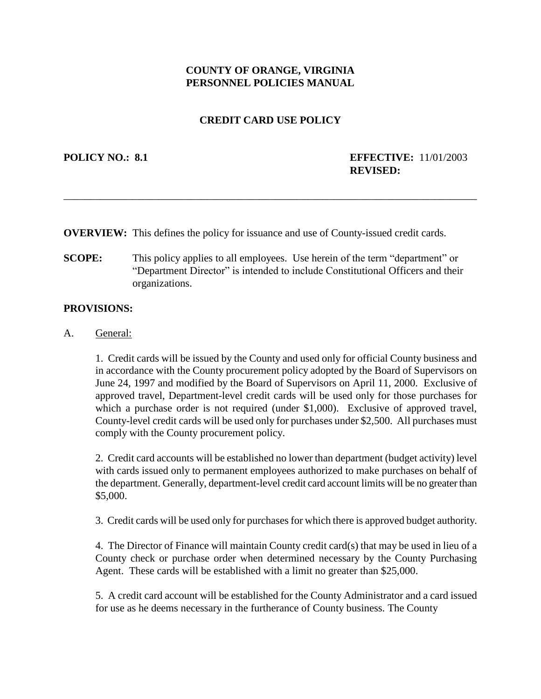# **COUNTY OF ORANGE, VIRGINIA PERSONNEL POLICIES MANUAL**

## **CREDIT CARD USE POLICY**

\_\_\_\_\_\_\_\_\_\_\_\_\_\_\_\_\_\_\_\_\_\_\_\_\_\_\_\_\_\_\_\_\_\_\_\_\_\_\_\_\_\_\_\_\_\_\_\_\_\_\_\_\_\_\_\_\_\_\_\_\_\_\_\_\_\_\_\_\_\_\_\_\_\_\_\_\_\_

### **POLICY NO.: 8.1 EFFECTIVE:** 11/01/2003 **REVISED:**

**OVERVIEW:** This defines the policy for issuance and use of County-issued credit cards.

**SCOPE:** This policy applies to all employees. Use herein of the term "department" or "Department Director" is intended to include Constitutional Officers and their organizations.

#### **PROVISIONS:**

A. General:

1. Credit cards will be issued by the County and used only for official County business and in accordance with the County procurement policy adopted by the Board of Supervisors on June 24, 1997 and modified by the Board of Supervisors on April 11, 2000. Exclusive of approved travel, Department-level credit cards will be used only for those purchases for which a purchase order is not required (under \$1,000). Exclusive of approved travel, County-level credit cards will be used only for purchases under \$2,500. All purchases must comply with the County procurement policy.

2. Credit card accounts will be established no lower than department (budget activity) level with cards issued only to permanent employees authorized to make purchases on behalf of the department. Generally, department-level credit card account limits will be no greater than \$5,000.

3. Credit cards will be used only for purchases for which there is approved budget authority.

 4. The Director of Finance will maintain County credit card(s) that may be used in lieu of a County check or purchase order when determined necessary by the County Purchasing Agent. These cards will be established with a limit no greater than \$25,000.

5. A credit card account will be established for the County Administrator and a card issued for use as he deems necessary in the furtherance of County business. The County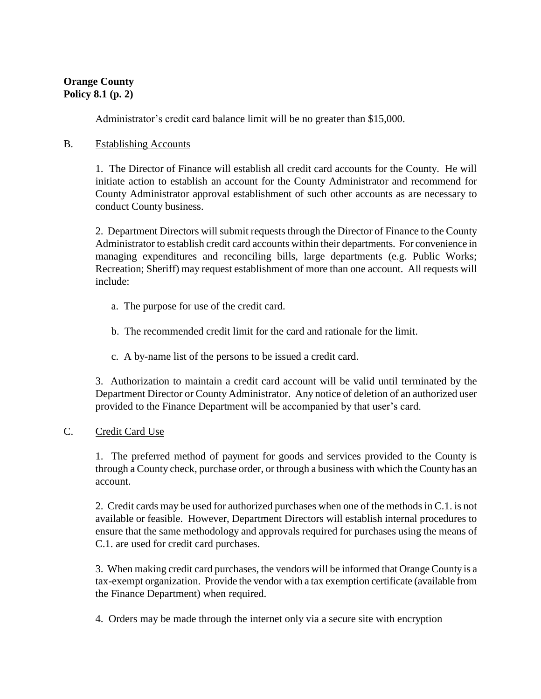# **Orange County Policy 8.1 (p. 2)**

Administrator's credit card balance limit will be no greater than \$15,000.

### B. Establishing Accounts

1. The Director of Finance will establish all credit card accounts for the County. He will initiate action to establish an account for the County Administrator and recommend for County Administrator approval establishment of such other accounts as are necessary to conduct County business.

2. Department Directors will submit requests through the Director of Finance to the County Administrator to establish credit card accounts within their departments. For convenience in managing expenditures and reconciling bills, large departments (e.g. Public Works; Recreation; Sheriff) may request establishment of more than one account. All requests will include:

- a. The purpose for use of the credit card.
- b. The recommended credit limit for the card and rationale for the limit.
- c. A by-name list of the persons to be issued a credit card.

3. Authorization to maintain a credit card account will be valid until terminated by the Department Director or County Administrator. Any notice of deletion of an authorized user provided to the Finance Department will be accompanied by that user's card.

#### C. Credit Card Use

1. The preferred method of payment for goods and services provided to the County is through a County check, purchase order, or through a business with which the County has an account.

2. Credit cards may be used for authorized purchases when one of the methods in C.1. is not available or feasible. However, Department Directors will establish internal procedures to ensure that the same methodology and approvals required for purchases using the means of C.1. are used for credit card purchases.

3. When making credit card purchases, the vendors will be informed that Orange County is a tax-exempt organization. Provide the vendor with a tax exemption certificate (available from the Finance Department) when required.

4. Orders may be made through the internet only via a secure site with encryption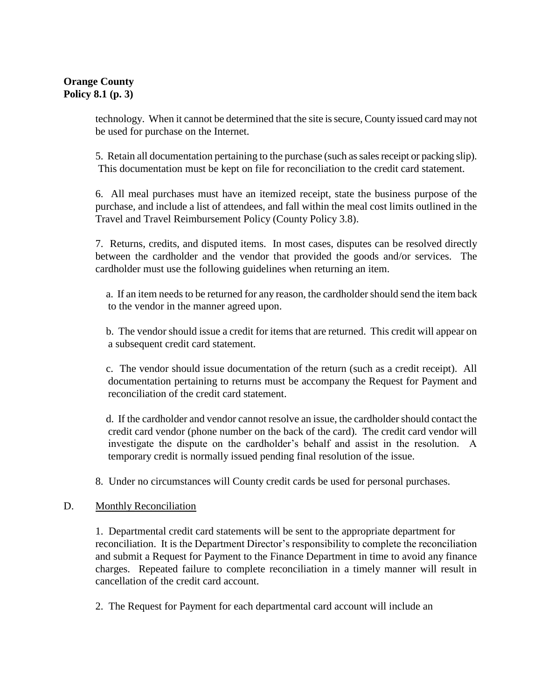# **Orange County Policy 8.1 (p. 3)**

technology. When it cannot be determined that the site is secure, County issued card may not be used for purchase on the Internet.

5. Retain all documentation pertaining to the purchase (such as sales receipt or packing slip). This documentation must be kept on file for reconciliation to the credit card statement.

6. All meal purchases must have an itemized receipt, state the business purpose of the purchase, and include a list of attendees, and fall within the meal cost limits outlined in the Travel and Travel Reimbursement Policy (County Policy 3.8).

7. Returns, credits, and disputed items. In most cases, disputes can be resolved directly between the cardholder and the vendor that provided the goods and/or services. The cardholder must use the following guidelines when returning an item.

 a. If an item needs to be returned for any reason, the cardholder should send the item back to the vendor in the manner agreed upon.

 b. The vendor should issue a credit for items that are returned. This credit will appear on a subsequent credit card statement.

 c. The vendor should issue documentation of the return (such as a credit receipt). All documentation pertaining to returns must be accompany the Request for Payment and reconciliation of the credit card statement.

 d. If the cardholder and vendor cannot resolve an issue, the cardholder should contact the credit card vendor (phone number on the back of the card). The credit card vendor will investigate the dispute on the cardholder's behalf and assist in the resolution. A temporary credit is normally issued pending final resolution of the issue.

8. Under no circumstances will County credit cards be used for personal purchases.

#### D. Monthly Reconciliation

1. Departmental credit card statements will be sent to the appropriate department for reconciliation. It is the Department Director's responsibility to complete the reconciliation and submit a Request for Payment to the Finance Department in time to avoid any finance charges. Repeated failure to complete reconciliation in a timely manner will result in cancellation of the credit card account.

2. The Request for Payment for each departmental card account will include an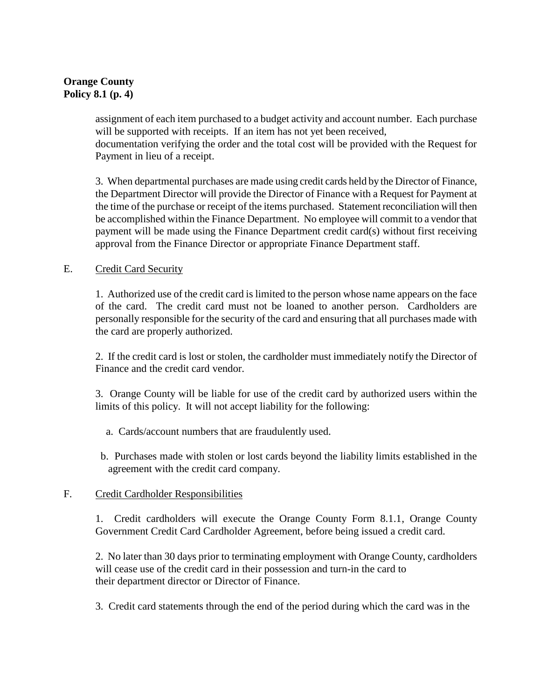# **Orange County Policy 8.1 (p. 4)**

assignment of each item purchased to a budget activity and account number. Each purchase will be supported with receipts. If an item has not yet been received,

documentation verifying the order and the total cost will be provided with the Request for Payment in lieu of a receipt.

3. When departmental purchases are made using credit cards held by the Director of Finance, the Department Director will provide the Director of Finance with a Request for Payment at the time of the purchase or receipt of the items purchased. Statement reconciliation will then be accomplished within the Finance Department. No employee will commit to a vendor that payment will be made using the Finance Department credit card(s) without first receiving approval from the Finance Director or appropriate Finance Department staff.

### E. Credit Card Security

1. Authorized use of the credit card is limited to the person whose name appears on the face of the card. The credit card must not be loaned to another person. Cardholders are personally responsible for the security of the card and ensuring that all purchases made with the card are properly authorized.

2. If the credit card is lost or stolen, the cardholder must immediately notify the Director of Finance and the credit card vendor.

3. Orange County will be liable for use of the credit card by authorized users within the limits of this policy. It will not accept liability for the following:

- a. Cards/account numbers that are fraudulently used.
- b. Purchases made with stolen or lost cards beyond the liability limits established in the agreement with the credit card company.

#### F. Credit Cardholder Responsibilities

1. Credit cardholders will execute the Orange County Form 8.1.1, Orange County Government Credit Card Cardholder Agreement, before being issued a credit card.

2. No later than 30 days prior to terminating employment with Orange County, cardholders will cease use of the credit card in their possession and turn-in the card to their department director or Director of Finance.

3. Credit card statements through the end of the period during which the card was in the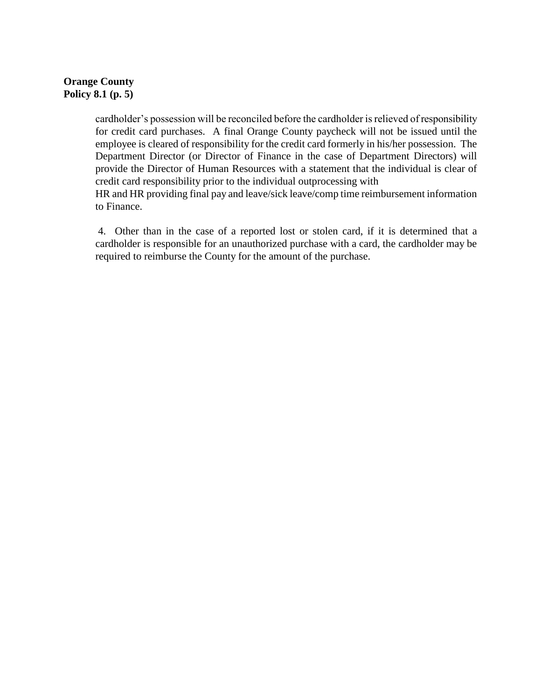## **Orange County Policy 8.1 (p. 5)**

cardholder's possession will be reconciled before the cardholder is relieved of responsibility for credit card purchases. A final Orange County paycheck will not be issued until the employee is cleared of responsibility for the credit card formerly in his/her possession. The Department Director (or Director of Finance in the case of Department Directors) will provide the Director of Human Resources with a statement that the individual is clear of credit card responsibility prior to the individual outprocessing with HR and HR providing final pay and leave/sick leave/comp time reimbursement information

to Finance.

4. Other than in the case of a reported lost or stolen card, if it is determined that a cardholder is responsible for an unauthorized purchase with a card, the cardholder may be required to reimburse the County for the amount of the purchase.